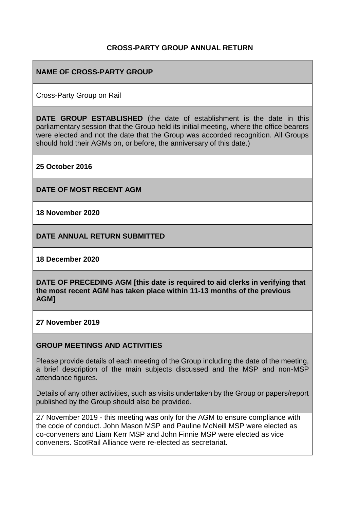### **CROSS-PARTY GROUP ANNUAL RETURN**

#### **NAME OF CROSS-PARTY GROUP**

Cross-Party Group on Rail

**DATE GROUP ESTABLISHED** (the date of establishment is the date in this parliamentary session that the Group held its initial meeting, where the office bearers were elected and not the date that the Group was accorded recognition. All Groups should hold their AGMs on, or before, the anniversary of this date.)

**25 October 2016**

**DATE OF MOST RECENT AGM**

**18 November 2020**

**DATE ANNUAL RETURN SUBMITTED**

**18 December 2020**

**DATE OF PRECEDING AGM [this date is required to aid clerks in verifying that the most recent AGM has taken place within 11-13 months of the previous AGM]**

**27 November 2019**

#### **GROUP MEETINGS AND ACTIVITIES**

Please provide details of each meeting of the Group including the date of the meeting, a brief description of the main subjects discussed and the MSP and non-MSP attendance figures.

Details of any other activities, such as visits undertaken by the Group or papers/report published by the Group should also be provided.

27 November 2019 - this meeting was only for the AGM to ensure compliance with the code of conduct. John Mason MSP and Pauline McNeill MSP were elected as co-conveners and Liam Kerr MSP and John Finnie MSP were elected as vice conveners. ScotRail Alliance were re-elected as secretariat.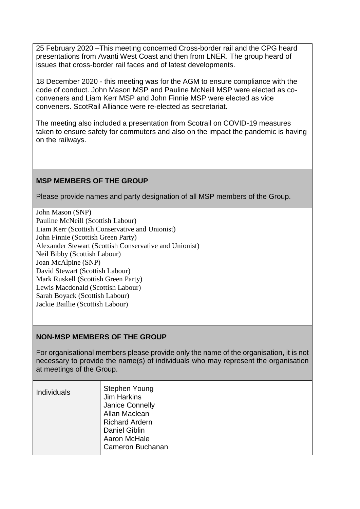25 February 2020 –This meeting concerned Cross-border rail and the CPG heard presentations from Avanti West Coast and then from LNER. The group heard of issues that cross-border rail faces and of latest developments.

18 December 2020 - this meeting was for the AGM to ensure compliance with the code of conduct. John Mason MSP and Pauline McNeill MSP were elected as coconveners and Liam Kerr MSP and John Finnie MSP were elected as vice conveners. ScotRail Alliance were re-elected as secretariat.

The meeting also included a presentation from Scotrail on COVID-19 measures taken to ensure safety for commuters and also on the impact the pandemic is having on the railways.

# **MSP MEMBERS OF THE GROUP**

Please provide names and party designation of all MSP members of the Group.

John Mason (SNP) Pauline McNeill (Scottish Labour) Liam Kerr (Scottish Conservative and Unionist) John Finnie (Scottish Green Party) Alexander Stewart (Scottish Conservative and Unionist) Neil Bibby (Scottish Labour) Joan McAlpine (SNP) David Stewart (Scottish Labour) Mark Ruskell (Scottish Green Party) Lewis Macdonald (Scottish Labour) Sarah Boyack (Scottish Labour) Jackie Baillie (Scottish Labour)

### **NON-MSP MEMBERS OF THE GROUP**

For organisational members please provide only the name of the organisation, it is not necessary to provide the name(s) of individuals who may represent the organisation at meetings of the Group.

| <b>Individuals</b> | Stephen Young<br><b>Jim Harkins</b><br>Janice Connelly<br>Allan Maclean<br><b>Richard Ardern</b><br><b>Daniel Giblin</b><br>Aaron McHale<br>Cameron Buchanan |
|--------------------|--------------------------------------------------------------------------------------------------------------------------------------------------------------|
|--------------------|--------------------------------------------------------------------------------------------------------------------------------------------------------------|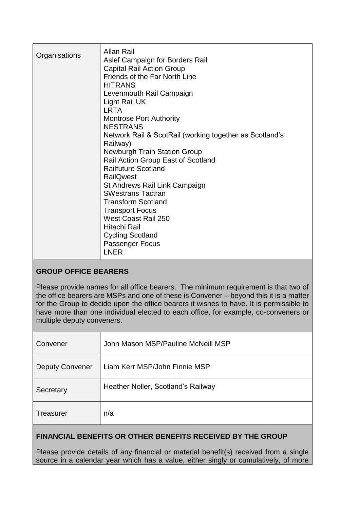| Organisations | Allan Rail<br>Aslef Campaign for Borders Rail<br><b>Capital Rail Action Group</b><br>Friends of the Far North Line<br><b>HITRANS</b><br>Levenmouth Rail Campaign<br>Light Rail UK<br><b>LRTA</b><br><b>Montrose Port Authority</b><br><b>NESTRANS</b><br>Network Rail & ScotRail (working together as Scotland's<br>Railway)<br><b>Newburgh Train Station Group</b><br>Rail Action Group East of Scotland<br><b>Railfuture Scotland</b><br><b>RailQwest</b><br>St Andrews Rail Link Campaign<br><b>SWestrans Tactran</b><br><b>Transform Scotland</b><br><b>Transport Focus</b><br>West Coast Rail 250<br>Hitachi Rail<br><b>Cycling Scotland</b><br>Passenger Focus<br><b>LNER</b> |
|---------------|-------------------------------------------------------------------------------------------------------------------------------------------------------------------------------------------------------------------------------------------------------------------------------------------------------------------------------------------------------------------------------------------------------------------------------------------------------------------------------------------------------------------------------------------------------------------------------------------------------------------------------------------------------------------------------------|
|---------------|-------------------------------------------------------------------------------------------------------------------------------------------------------------------------------------------------------------------------------------------------------------------------------------------------------------------------------------------------------------------------------------------------------------------------------------------------------------------------------------------------------------------------------------------------------------------------------------------------------------------------------------------------------------------------------------|

## **GROUP OFFICE BEARERS**

Please provide names for all office bearers. The minimum requirement is that two of the office bearers are MSPs and one of these is Convener – beyond this it is a matter for the Group to decide upon the office bearers it wishes to have. It is permissible to have more than one individual elected to each office, for example, co-conveners or multiple deputy conveners.

| Convener               | John Mason MSP/Pauline McNeill MSP |
|------------------------|------------------------------------|
| <b>Deputy Convener</b> | Liam Kerr MSP/John Finnie MSP      |
| Secretary              | Heather Noller, Scotland's Railway |
| <b>Treasurer</b>       | n/a                                |

### **FINANCIAL BENEFITS OR OTHER BENEFITS RECEIVED BY THE GROUP**

Please provide details of any financial or material benefit(s) received from a single source in a calendar year which has a value, either singly or cumulatively, of more